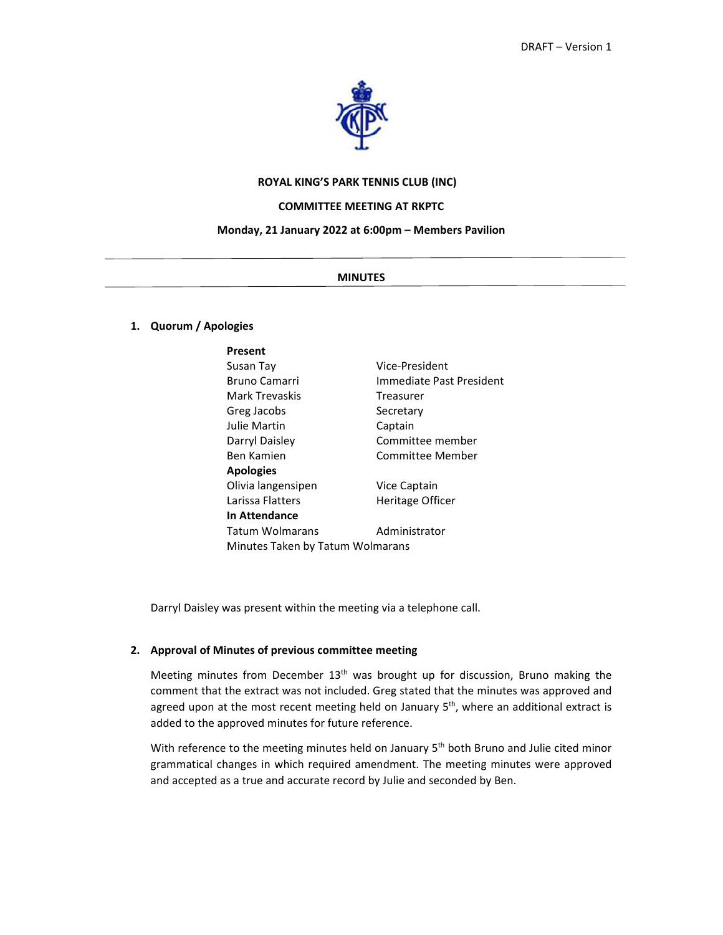

# **ROYAL KING'S PARK TENNIS CLUB (INC)**

#### **COMMITTEE MEETING AT RKPTC**

#### **Monday, 21 January 2022 at 6:00pm – Members Pavilion**

#### **MINUTES**

# **1. Quorum / Apologies**

| Present                          |                          |  |
|----------------------------------|--------------------------|--|
| Susan Tay                        | Vice-President           |  |
| <b>Bruno Camarri</b>             | Immediate Past President |  |
| Mark Trevaskis                   | Treasurer                |  |
| Greg Jacobs                      | Secretary                |  |
| Julie Martin                     | Captain                  |  |
| Darryl Daisley                   | Committee member         |  |
| Ben Kamien                       | Committee Member         |  |
| <b>Apologies</b>                 |                          |  |
| Olivia langensipen               | Vice Captain             |  |
| Larissa Flatters                 | Heritage Officer         |  |
| In Attendance                    |                          |  |
| Tatum Wolmarans                  | Administrator            |  |
| Minutes Taken by Tatum Wolmarans |                          |  |

Darryl Daisley was present within the meeting via a telephone call.

# **2. Approval of Minutes of previous committee meeting**

Meeting minutes from December  $13<sup>th</sup>$  was brought up for discussion, Bruno making the comment that the extract was not included. Greg stated that the minutes was approved and agreed upon at the most recent meeting held on January 5<sup>th</sup>, where an additional extract is added to the approved minutes for future reference.

With reference to the meeting minutes held on January 5<sup>th</sup> both Bruno and Julie cited minor grammatical changes in which required amendment. The meeting minutes were approved and accepted as a true and accurate record by Julie and seconded by Ben.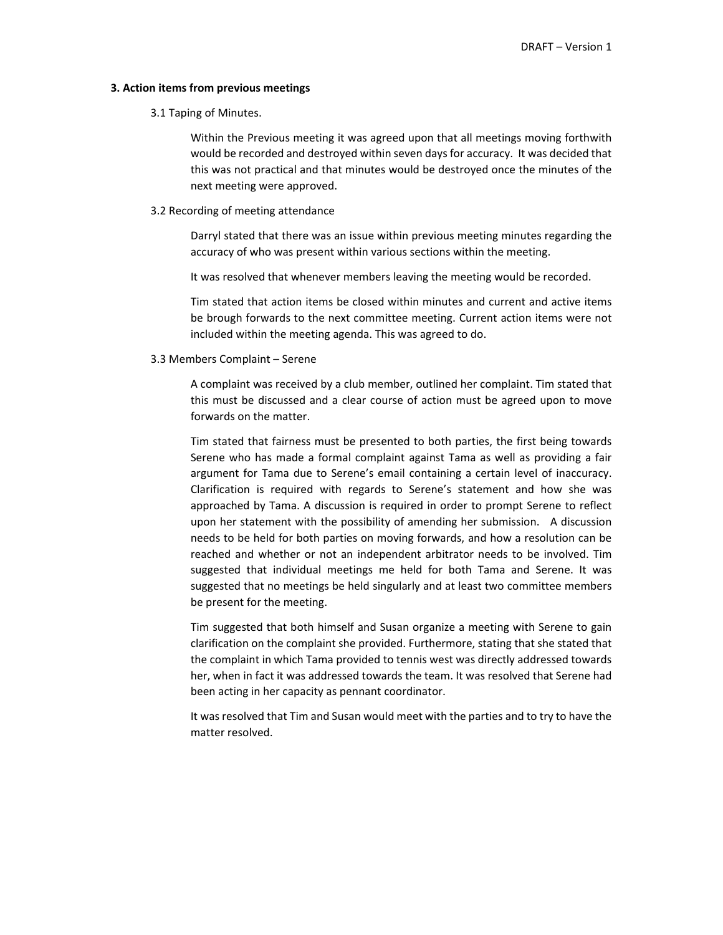#### **3. Action items from previous meetings**

#### 3.1 Taping of Minutes.

Within the Previous meeting it was agreed upon that all meetings moving forthwith would be recorded and destroyed within seven days for accuracy. It was decided that this was not practical and that minutes would be destroyed once the minutes of the next meeting were approved.

3.2 Recording of meeting attendance

Darryl stated that there was an issue within previous meeting minutes regarding the accuracy of who was present within various sections within the meeting.

It was resolved that whenever members leaving the meeting would be recorded.

Tim stated that action items be closed within minutes and current and active items be brough forwards to the next committee meeting. Current action items were not included within the meeting agenda. This was agreed to do.

# 3.3 Members Complaint – Serene

A complaint was received by a club member, outlined her complaint. Tim stated that this must be discussed and a clear course of action must be agreed upon to move forwards on the matter.

Tim stated that fairness must be presented to both parties, the first being towards Serene who has made a formal complaint against Tama as well as providing a fair argument for Tama due to Serene's email containing a certain level of inaccuracy. Clarification is required with regards to Serene's statement and how she was approached by Tama. A discussion is required in order to prompt Serene to reflect upon her statement with the possibility of amending her submission. A discussion needs to be held for both parties on moving forwards, and how a resolution can be reached and whether or not an independent arbitrator needs to be involved. Tim suggested that individual meetings me held for both Tama and Serene. It was suggested that no meetings be held singularly and at least two committee members be present for the meeting.

Tim suggested that both himself and Susan organize a meeting with Serene to gain clarification on the complaint she provided. Furthermore, stating that she stated that the complaint in which Tama provided to tennis west was directly addressed towards her, when in fact it was addressed towards the team. It was resolved that Serene had been acting in her capacity as pennant coordinator.

It was resolved that Tim and Susan would meet with the parties and to try to have the matter resolved.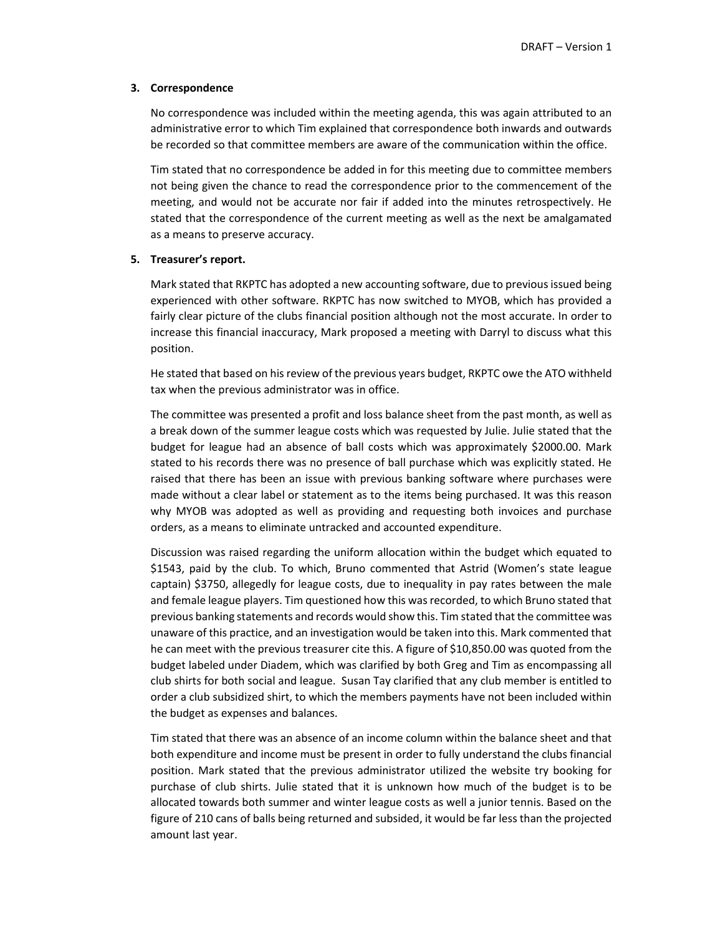## **3. Correspondence**

No correspondence was included within the meeting agenda, this was again attributed to an administrative error to which Tim explained that correspondence both inwards and outwards be recorded so that committee members are aware of the communication within the office.

Tim stated that no correspondence be added in for this meeting due to committee members not being given the chance to read the correspondence prior to the commencement of the meeting, and would not be accurate nor fair if added into the minutes retrospectively. He stated that the correspondence of the current meeting as well as the next be amalgamated as a means to preserve accuracy.

# **5. Treasurer's report.**

Mark stated that RKPTC has adopted a new accounting software, due to previous issued being experienced with other software. RKPTC has now switched to MYOB, which has provided a fairly clear picture of the clubs financial position although not the most accurate. In order to increase this financial inaccuracy, Mark proposed a meeting with Darryl to discuss what this position.

He stated that based on his review of the previous years budget, RKPTC owe the ATO withheld tax when the previous administrator was in office.

The committee was presented a profit and loss balance sheet from the past month, as well as a break down of the summer league costs which was requested by Julie. Julie stated that the budget for league had an absence of ball costs which was approximately \$2000.00. Mark stated to his records there was no presence of ball purchase which was explicitly stated. He raised that there has been an issue with previous banking software where purchases were made without a clear label or statement as to the items being purchased. It was this reason why MYOB was adopted as well as providing and requesting both invoices and purchase orders, as a means to eliminate untracked and accounted expenditure.

Discussion was raised regarding the uniform allocation within the budget which equated to \$1543, paid by the club. To which, Bruno commented that Astrid (Women's state league captain) \$3750, allegedly for league costs, due to inequality in pay rates between the male and female league players. Tim questioned how this was recorded, to which Bruno stated that previous banking statements and records would show this. Tim stated that the committee was unaware of this practice, and an investigation would be taken into this. Mark commented that he can meet with the previous treasurer cite this. A figure of \$10,850.00 was quoted from the budget labeled under Diadem, which was clarified by both Greg and Tim as encompassing all club shirts for both social and league. Susan Tay clarified that any club member is entitled to order a club subsidized shirt, to which the members payments have not been included within the budget as expenses and balances.

Tim stated that there was an absence of an income column within the balance sheet and that both expenditure and income must be present in order to fully understand the clubs financial position. Mark stated that the previous administrator utilized the website try booking for purchase of club shirts. Julie stated that it is unknown how much of the budget is to be allocated towards both summer and winter league costs as well a junior tennis. Based on the figure of 210 cans of balls being returned and subsided, it would be far less than the projected amount last year.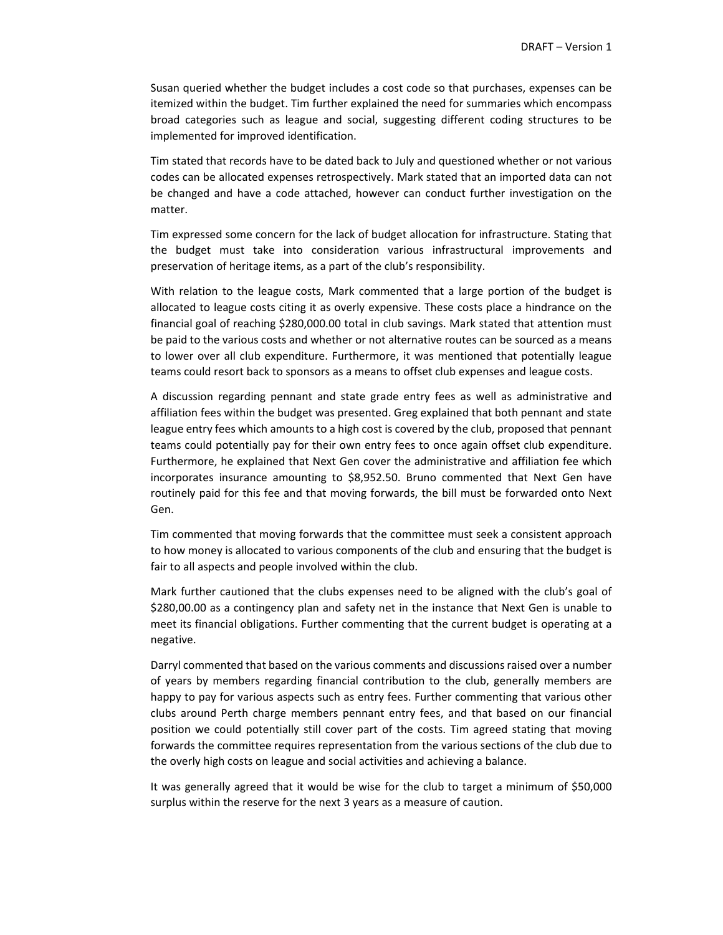Susan queried whether the budget includes a cost code so that purchases, expenses can be itemized within the budget. Tim further explained the need for summaries which encompass broad categories such as league and social, suggesting different coding structures to be implemented for improved identification.

Tim stated that records have to be dated back to July and questioned whether or not various codes can be allocated expenses retrospectively. Mark stated that an imported data can not be changed and have a code attached, however can conduct further investigation on the matter.

Tim expressed some concern for the lack of budget allocation for infrastructure. Stating that the budget must take into consideration various infrastructural improvements and preservation of heritage items, as a part of the club's responsibility.

With relation to the league costs, Mark commented that a large portion of the budget is allocated to league costs citing it as overly expensive. These costs place a hindrance on the financial goal of reaching \$280,000.00 total in club savings. Mark stated that attention must be paid to the various costs and whether or not alternative routes can be sourced as a means to lower over all club expenditure. Furthermore, it was mentioned that potentially league teams could resort back to sponsors as a means to offset club expenses and league costs.

A discussion regarding pennant and state grade entry fees as well as administrative and affiliation fees within the budget was presented. Greg explained that both pennant and state league entry fees which amounts to a high cost is covered by the club, proposed that pennant teams could potentially pay for their own entry fees to once again offset club expenditure. Furthermore, he explained that Next Gen cover the administrative and affiliation fee which incorporates insurance amounting to \$8,952.50. Bruno commented that Next Gen have routinely paid for this fee and that moving forwards, the bill must be forwarded onto Next Gen.

Tim commented that moving forwards that the committee must seek a consistent approach to how money is allocated to various components of the club and ensuring that the budget is fair to all aspects and people involved within the club.

Mark further cautioned that the clubs expenses need to be aligned with the club's goal of \$280,00.00 as a contingency plan and safety net in the instance that Next Gen is unable to meet its financial obligations. Further commenting that the current budget is operating at a negative.

Darryl commented that based on the various comments and discussions raised over a number of years by members regarding financial contribution to the club, generally members are happy to pay for various aspects such as entry fees. Further commenting that various other clubs around Perth charge members pennant entry fees, and that based on our financial position we could potentially still cover part of the costs. Tim agreed stating that moving forwards the committee requires representation from the various sections of the club due to the overly high costs on league and social activities and achieving a balance.

It was generally agreed that it would be wise for the club to target a minimum of \$50,000 surplus within the reserve for the next 3 years as a measure of caution.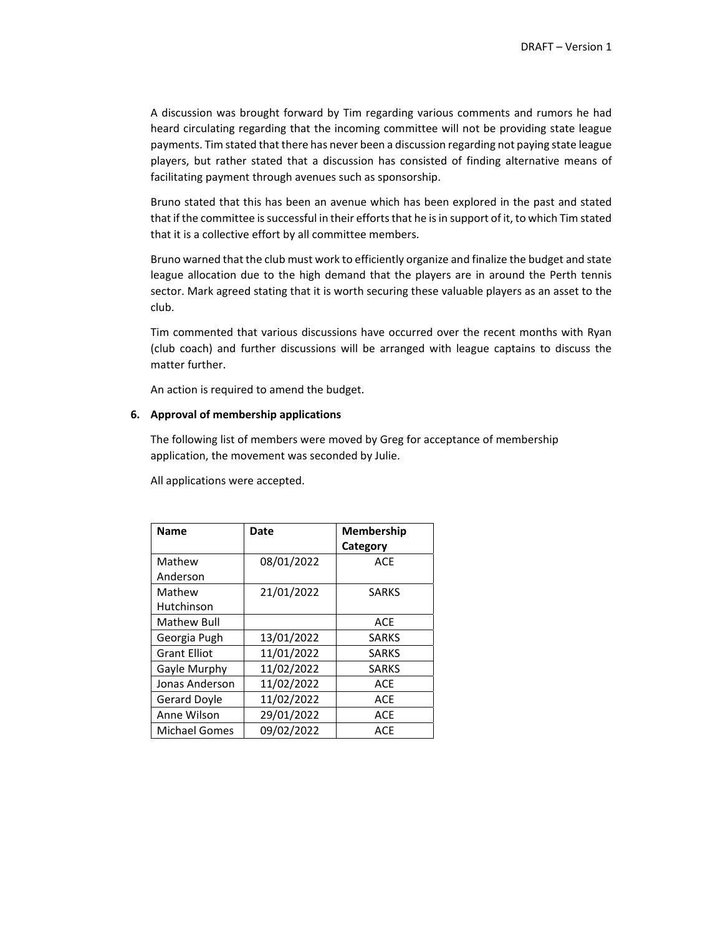A discussion was brought forward by Tim regarding various comments and rumors he had heard circulating regarding that the incoming committee will not be providing state league payments. Tim stated that there has never been a discussion regarding not paying state league players, but rather stated that a discussion has consisted of finding alternative means of facilitating payment through avenues such as sponsorship.

Bruno stated that this has been an avenue which has been explored in the past and stated that if the committee is successful in their efforts that he is in support of it, to which Tim stated that it is a collective effort by all committee members.

Bruno warned that the club must work to efficiently organize and finalize the budget and state league allocation due to the high demand that the players are in around the Perth tennis sector. Mark agreed stating that it is worth securing these valuable players as an asset to the club.

Tim commented that various discussions have occurred over the recent months with Ryan (club coach) and further discussions will be arranged with league captains to discuss the matter further.

An action is required to amend the budget.

# **6. Approval of membership applications**

The following list of members were moved by Greg for acceptance of membership application, the movement was seconded by Julie.

All applications were accepted.

| Name                 | Date       | Membership   |
|----------------------|------------|--------------|
|                      |            | Category     |
| Mathew               | 08/01/2022 | <b>ACE</b>   |
| Anderson             |            |              |
| Mathew               | 21/01/2022 | <b>SARKS</b> |
| Hutchinson           |            |              |
| Mathew Bull          |            | <b>ACE</b>   |
| Georgia Pugh         | 13/01/2022 | <b>SARKS</b> |
| <b>Grant Elliot</b>  | 11/01/2022 | <b>SARKS</b> |
| Gayle Murphy         | 11/02/2022 | <b>SARKS</b> |
| Jonas Anderson       | 11/02/2022 | <b>ACE</b>   |
| Gerard Doyle         | 11/02/2022 | <b>ACE</b>   |
| Anne Wilson          | 29/01/2022 | <b>ACE</b>   |
| <b>Michael Gomes</b> | 09/02/2022 | <b>ACE</b>   |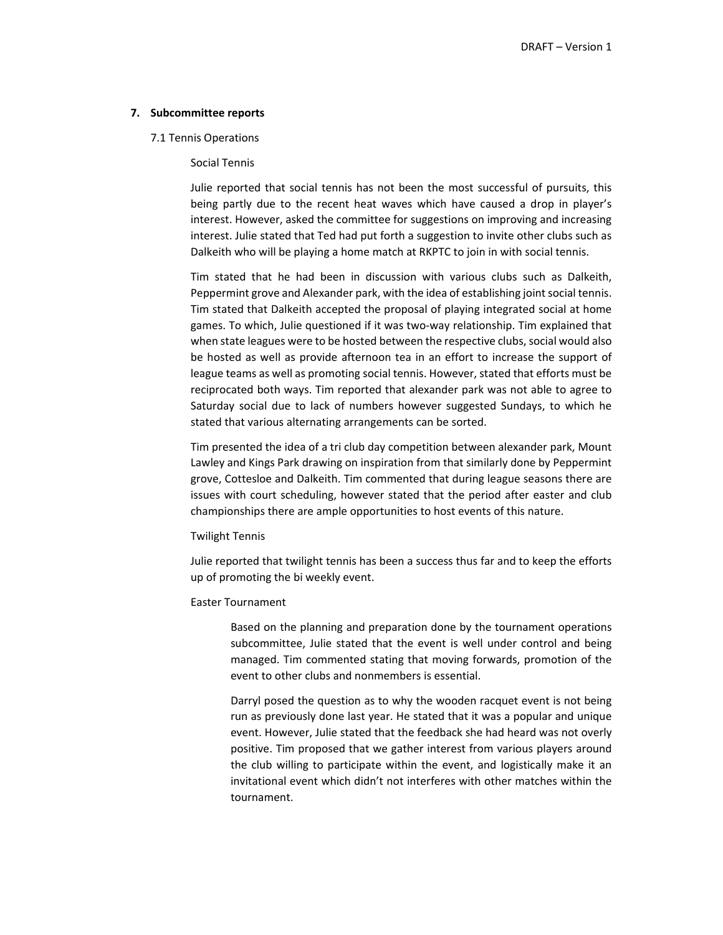# **7. Subcommittee reports**

#### 7.1 Tennis Operations

# Social Tennis

Julie reported that social tennis has not been the most successful of pursuits, this being partly due to the recent heat waves which have caused a drop in player's interest. However, asked the committee for suggestions on improving and increasing interest. Julie stated that Ted had put forth a suggestion to invite other clubs such as Dalkeith who will be playing a home match at RKPTC to join in with social tennis.

Tim stated that he had been in discussion with various clubs such as Dalkeith, Peppermint grove and Alexander park, with the idea of establishing joint social tennis. Tim stated that Dalkeith accepted the proposal of playing integrated social at home games. To which, Julie questioned if it was two-way relationship. Tim explained that when state leagues were to be hosted between the respective clubs, social would also be hosted as well as provide afternoon tea in an effort to increase the support of league teams as well as promoting social tennis. However, stated that efforts must be reciprocated both ways. Tim reported that alexander park was not able to agree to Saturday social due to lack of numbers however suggested Sundays, to which he stated that various alternating arrangements can be sorted.

Tim presented the idea of a tri club day competition between alexander park, Mount Lawley and Kings Park drawing on inspiration from that similarly done by Peppermint grove, Cottesloe and Dalkeith. Tim commented that during league seasons there are issues with court scheduling, however stated that the period after easter and club championships there are ample opportunities to host events of this nature.

#### Twilight Tennis

Julie reported that twilight tennis has been a success thus far and to keep the efforts up of promoting the bi weekly event.

# Easter Tournament

Based on the planning and preparation done by the tournament operations subcommittee, Julie stated that the event is well under control and being managed. Tim commented stating that moving forwards, promotion of the event to other clubs and nonmembers is essential.

Darryl posed the question as to why the wooden racquet event is not being run as previously done last year. He stated that it was a popular and unique event. However, Julie stated that the feedback she had heard was not overly positive. Tim proposed that we gather interest from various players around the club willing to participate within the event, and logistically make it an invitational event which didn't not interferes with other matches within the tournament.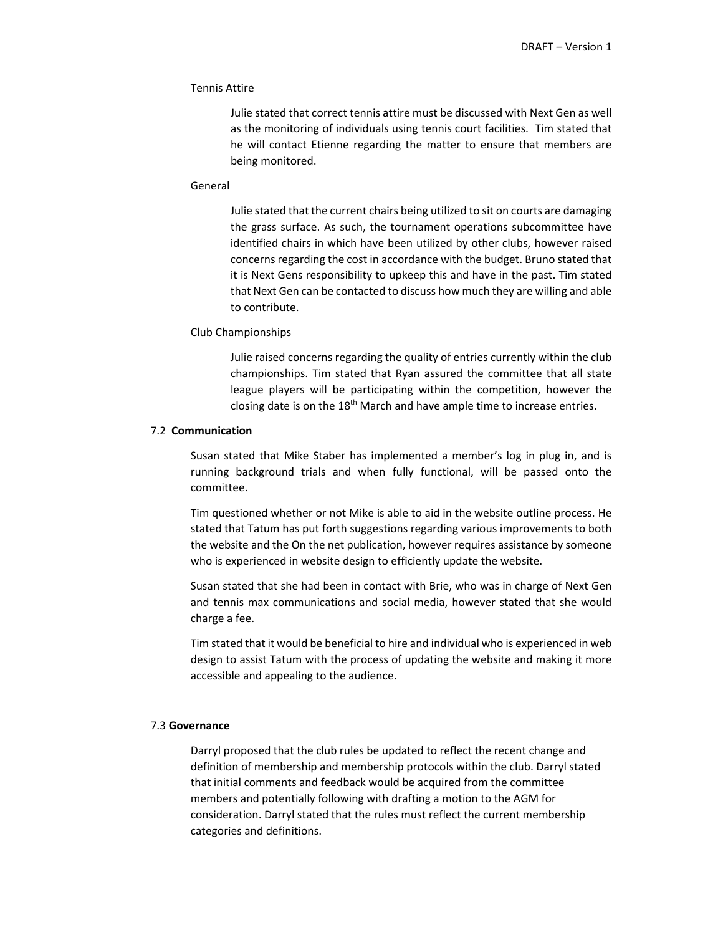## Tennis Attire

Julie stated that correct tennis attire must be discussed with Next Gen as well as the monitoring of individuals using tennis court facilities. Tim stated that he will contact Etienne regarding the matter to ensure that members are being monitored.

## General

Julie stated that the current chairs being utilized to sit on courts are damaging the grass surface. As such, the tournament operations subcommittee have identified chairs in which have been utilized by other clubs, however raised concerns regarding the cost in accordance with the budget. Bruno stated that it is Next Gens responsibility to upkeep this and have in the past. Tim stated that Next Gen can be contacted to discuss how much they are willing and able to contribute.

#### Club Championships

Julie raised concerns regarding the quality of entries currently within the club championships. Tim stated that Ryan assured the committee that all state league players will be participating within the competition, however the closing date is on the  $18<sup>th</sup>$  March and have ample time to increase entries.

# 7.2 **Communication**

Susan stated that Mike Staber has implemented a member's log in plug in, and is running background trials and when fully functional, will be passed onto the committee.

Tim questioned whether or not Mike is able to aid in the website outline process. He stated that Tatum has put forth suggestions regarding various improvements to both the website and the On the net publication, however requires assistance by someone who is experienced in website design to efficiently update the website.

Susan stated that she had been in contact with Brie, who was in charge of Next Gen and tennis max communications and social media, however stated that she would charge a fee.

Tim stated that it would be beneficial to hire and individual who is experienced in web design to assist Tatum with the process of updating the website and making it more accessible and appealing to the audience.

# 7.3 **Governance**

Darryl proposed that the club rules be updated to reflect the recent change and definition of membership and membership protocols within the club. Darryl stated that initial comments and feedback would be acquired from the committee members and potentially following with drafting a motion to the AGM for consideration. Darryl stated that the rules must reflect the current membership categories and definitions.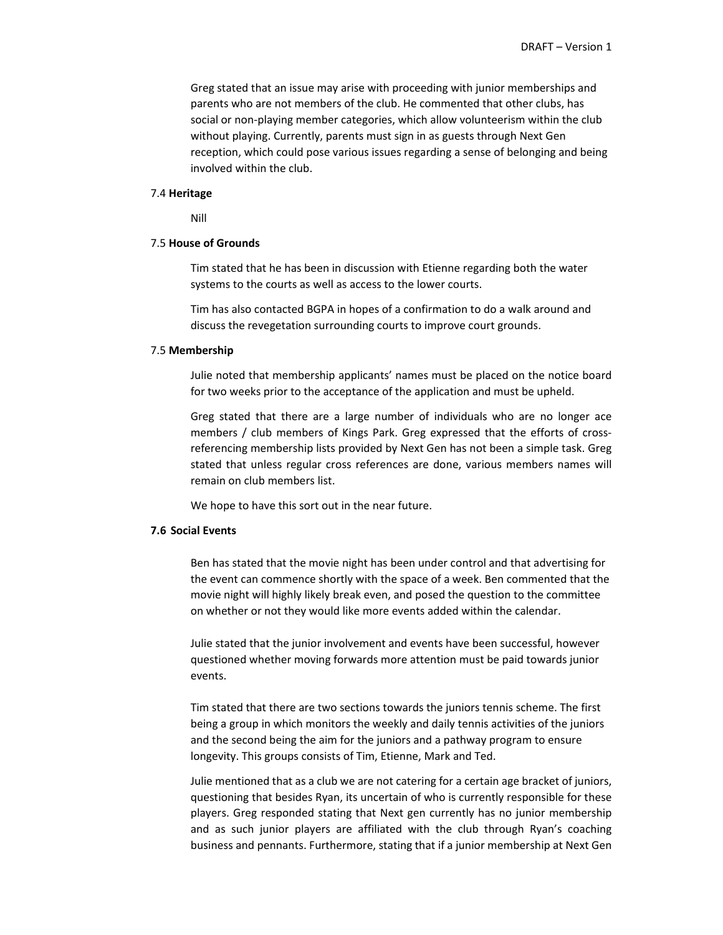Greg stated that an issue may arise with proceeding with junior memberships and parents who are not members of the club. He commented that other clubs, has social or non‐playing member categories, which allow volunteerism within the club without playing. Currently, parents must sign in as guests through Next Gen reception, which could pose various issues regarding a sense of belonging and being involved within the club.

#### 7.4 **Heritage**

Nill

#### 7.5 **House of Grounds**

Tim stated that he has been in discussion with Etienne regarding both the water systems to the courts as well as access to the lower courts.

Tim has also contacted BGPA in hopes of a confirmation to do a walk around and discuss the revegetation surrounding courts to improve court grounds.

#### 7.5 **Membership**

Julie noted that membership applicants' names must be placed on the notice board for two weeks prior to the acceptance of the application and must be upheld.

Greg stated that there are a large number of individuals who are no longer ace members / club members of Kings Park. Greg expressed that the efforts of crossreferencing membership lists provided by Next Gen has not been a simple task. Greg stated that unless regular cross references are done, various members names will remain on club members list.

We hope to have this sort out in the near future.

# **7.6 Social Events**

Ben has stated that the movie night has been under control and that advertising for the event can commence shortly with the space of a week. Ben commented that the movie night will highly likely break even, and posed the question to the committee on whether or not they would like more events added within the calendar.

Julie stated that the junior involvement and events have been successful, however questioned whether moving forwards more attention must be paid towards junior events.

Tim stated that there are two sections towards the juniors tennis scheme. The first being a group in which monitors the weekly and daily tennis activities of the juniors and the second being the aim for the juniors and a pathway program to ensure longevity. This groups consists of Tim, Etienne, Mark and Ted.

Julie mentioned that as a club we are not catering for a certain age bracket of juniors, questioning that besides Ryan, its uncertain of who is currently responsible for these players. Greg responded stating that Next gen currently has no junior membership and as such junior players are affiliated with the club through Ryan's coaching business and pennants. Furthermore, stating that if a junior membership at Next Gen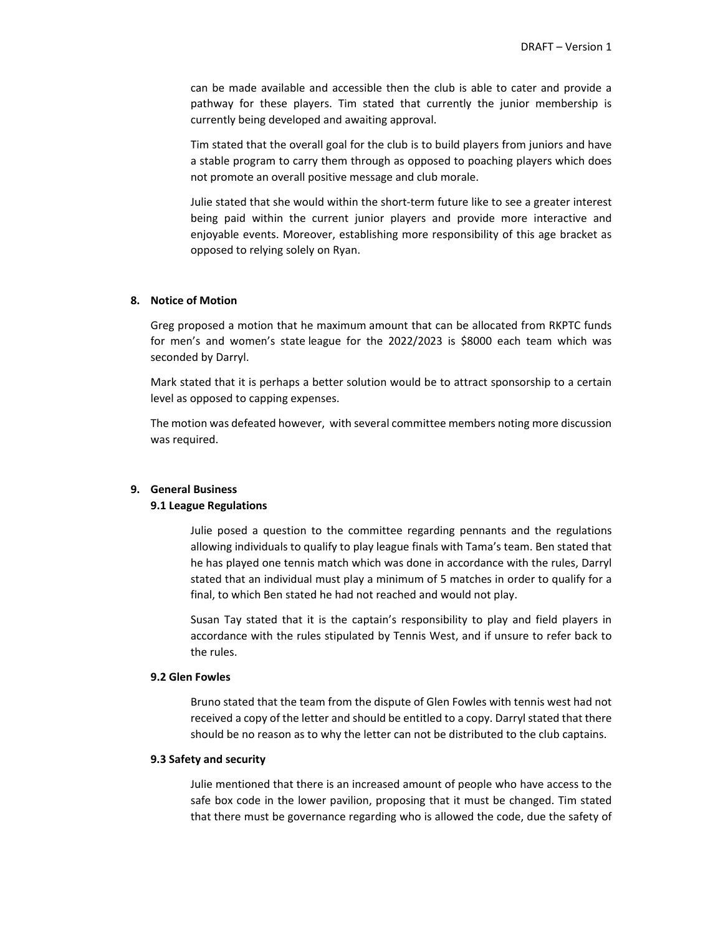can be made available and accessible then the club is able to cater and provide a pathway for these players. Tim stated that currently the junior membership is currently being developed and awaiting approval.

Tim stated that the overall goal for the club is to build players from juniors and have a stable program to carry them through as opposed to poaching players which does not promote an overall positive message and club morale.

Julie stated that she would within the short‐term future like to see a greater interest being paid within the current junior players and provide more interactive and enjoyable events. Moreover, establishing more responsibility of this age bracket as opposed to relying solely on Ryan.

# **8. Notice of Motion**

Greg proposed a motion that he maximum amount that can be allocated from RKPTC funds for men's and women's state league for the 2022/2023 is \$8000 each team which was seconded by Darryl.

Mark stated that it is perhaps a better solution would be to attract sponsorship to a certain level as opposed to capping expenses.

The motion was defeated however, with several committee members noting more discussion was required.

### **9. General Business**

# **9.1 League Regulations**

Julie posed a question to the committee regarding pennants and the regulations allowing individuals to qualify to play league finals with Tama's team. Ben stated that he has played one tennis match which was done in accordance with the rules, Darryl stated that an individual must play a minimum of 5 matches in order to qualify for a final, to which Ben stated he had not reached and would not play.

Susan Tay stated that it is the captain's responsibility to play and field players in accordance with the rules stipulated by Tennis West, and if unsure to refer back to the rules.

# **9.2 Glen Fowles**

Bruno stated that the team from the dispute of Glen Fowles with tennis west had not received a copy of the letter and should be entitled to a copy. Darryl stated that there should be no reason as to why the letter can not be distributed to the club captains.

## **9.3 Safety and security**

Julie mentioned that there is an increased amount of people who have access to the safe box code in the lower pavilion, proposing that it must be changed. Tim stated that there must be governance regarding who is allowed the code, due the safety of